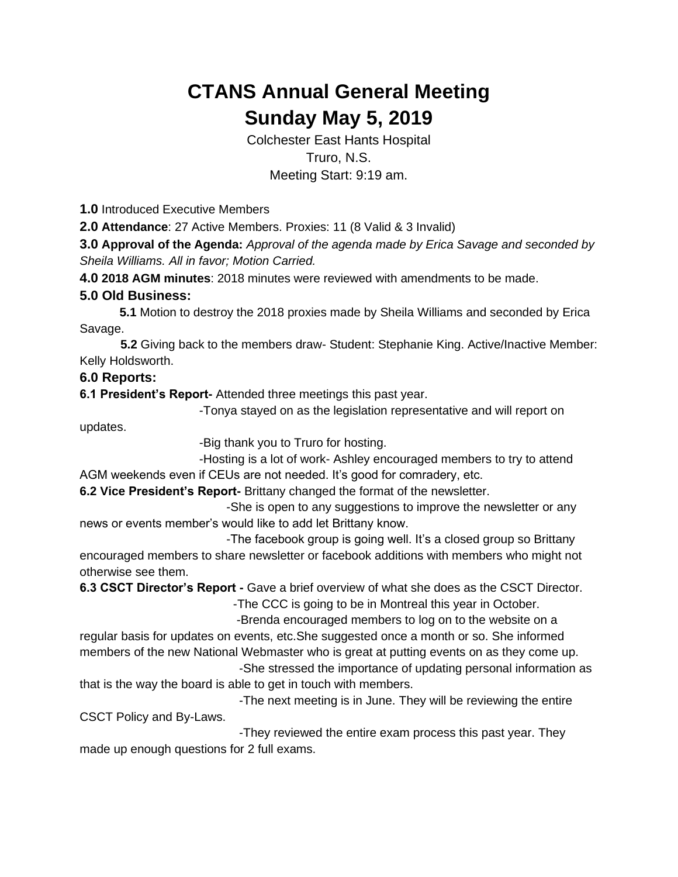## **CTANS Annual General Meeting Sunday May 5, 2019**

Colchester East Hants Hospital Truro, N.S. Meeting Start: 9:19 am.

**1.0** Introduced Executive Members

**2.0 Attendance**: 27 Active Members. Proxies: 11 (8 Valid & 3 Invalid)

**3.0 Approval of the Agenda:** *Approval of the agenda made by Erica Savage and seconded by Sheila Williams. All in favor; Motion Carried.*

**4.0 2018 AGM minutes**: 2018 minutes were reviewed with amendments to be made.

## **5.0 Old Business:**

**5.1** Motion to destroy the 2018 proxies made by Sheila Williams and seconded by Erica Savage.

 **5.2** Giving back to the members draw- Student: Stephanie King. Active/Inactive Member: Kelly Holdsworth.

## **6.0 Reports:**

**6.1 President's Report-** Attended three meetings this past year.

-Tonya stayed on as the legislation representative and will report on

updates.

-Big thank you to Truro for hosting.

-Hosting is a lot of work- Ashley encouraged members to try to attend AGM weekends even if CEUs are not needed. It's good for comradery, etc.

**6.2 Vice President's Report-** Brittany changed the format of the newsletter.

 -She is open to any suggestions to improve the newsletter or any news or events member's would like to add let Brittany know.

 -The facebook group is going well. It's a closed group so Brittany encouraged members to share newsletter or facebook additions with members who might not otherwise see them.

**6.3 CSCT Director's Report -** Gave a brief overview of what she does as the CSCT Director. -The CCC is going to be in Montreal this year in October.

-Brenda encouraged members to log on to the website on a

regular basis for updates on events, etc.She suggested once a month or so. She informed members of the new National Webmaster who is great at putting events on as they come up. -She stressed the importance of updating personal information as

that is the way the board is able to get in touch with members.

-The next meeting is in June. They will be reviewing the entire CSCT Policy and By-Laws.

-They reviewed the entire exam process this past year. They made up enough questions for 2 full exams.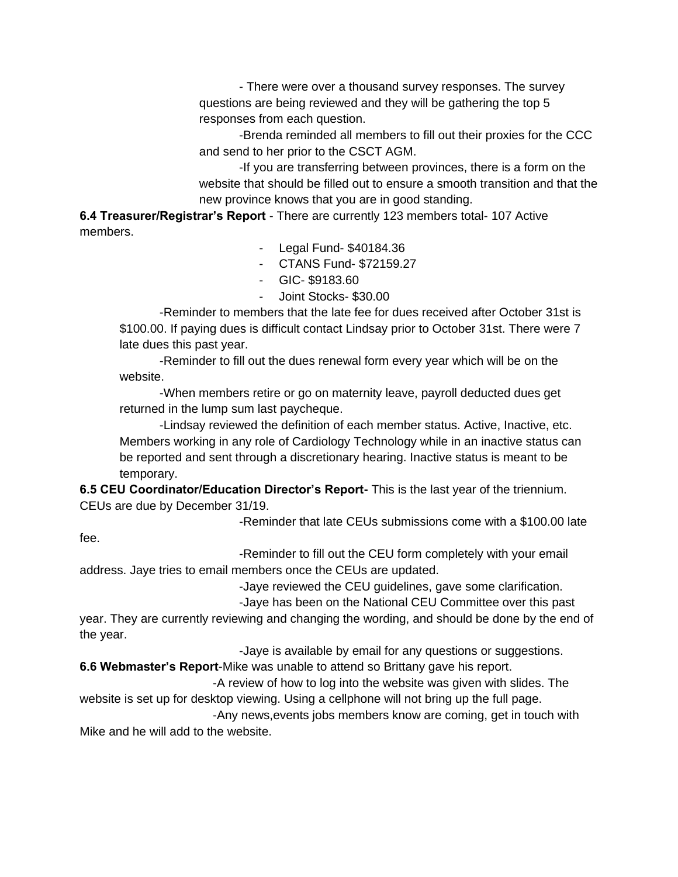- There were over a thousand survey responses. The survey questions are being reviewed and they will be gathering the top 5 responses from each question.

-Brenda reminded all members to fill out their proxies for the CCC and send to her prior to the CSCT AGM.

-If you are transferring between provinces, there is a form on the website that should be filled out to ensure a smooth transition and that the new province knows that you are in good standing.

**6.4 Treasurer/Registrar's Report** - There are currently 123 members total- 107 Active members.

- Legal Fund- \$40184.36
- CTANS Fund- \$72159.27
- GIC- \$9183.60
- Joint Stocks- \$30.00

-Reminder to members that the late fee for dues received after October 31st is \$100.00. If paying dues is difficult contact Lindsay prior to October 31st. There were 7 late dues this past year.

-Reminder to fill out the dues renewal form every year which will be on the website.

-When members retire or go on maternity leave, payroll deducted dues get returned in the lump sum last paycheque.

-Lindsay reviewed the definition of each member status. Active, Inactive, etc. Members working in any role of Cardiology Technology while in an inactive status can be reported and sent through a discretionary hearing. Inactive status is meant to be temporary.

**6.5 CEU Coordinator/Education Director's Report-** This is the last year of the triennium. CEUs are due by December 31/19.

-Reminder that late CEUs submissions come with a \$100.00 late

fee.

-Reminder to fill out the CEU form completely with your email

address. Jaye tries to email members once the CEUs are updated.

-Jaye reviewed the CEU guidelines, gave some clarification.

-Jaye has been on the National CEU Committee over this past

year. They are currently reviewing and changing the wording, and should be done by the end of the year.

-Jaye is available by email for any questions or suggestions.

**6.6 Webmaster's Report**-Mike was unable to attend so Brittany gave his report.

 -A review of how to log into the website was given with slides. The website is set up for desktop viewing. Using a cellphone will not bring up the full page.

 -Any news,events jobs members know are coming, get in touch with Mike and he will add to the website.